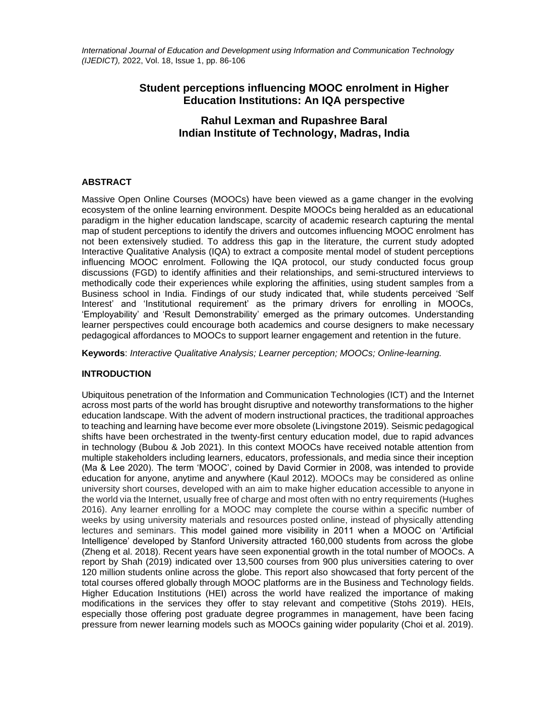*International Journal of Education and Development using Information and Communication Technology (IJEDICT),* 2022, Vol. 18, Issue 1, pp. 86-106

# **Student perceptions influencing MOOC enrolment in Higher Education Institutions: An IQA perspective**

# **Rahul Lexman and Rupashree Baral Indian Institute of Technology, Madras, India**

## **ABSTRACT**

Massive Open Online Courses (MOOCs) have been viewed as a game changer in the evolving ecosystem of the online learning environment. Despite MOOCs being heralded as an educational paradigm in the higher education landscape, scarcity of academic research capturing the mental map of student perceptions to identify the drivers and outcomes influencing MOOC enrolment has not been extensively studied. To address this gap in the literature, the current study adopted Interactive Qualitative Analysis (IQA) to extract a composite mental model of student perceptions influencing MOOC enrolment. Following the IQA protocol, our study conducted focus group discussions (FGD) to identify affinities and their relationships, and semi-structured interviews to methodically code their experiences while exploring the affinities, using student samples from a Business school in India. Findings of our study indicated that, while students perceived 'Self Interest' and 'Institutional requirement' as the primary drivers for enrolling in MOOCs, 'Employability' and 'Result Demonstrability' emerged as the primary outcomes. Understanding learner perspectives could encourage both academics and course designers to make necessary pedagogical affordances to MOOCs to support learner engagement and retention in the future.

**Keywords**: *Interactive Qualitative Analysis; Learner perception; MOOCs; Online-learning.*

## **INTRODUCTION**

Ubiquitous penetration of the Information and Communication Technologies (ICT) and the Internet across most parts of the world has brought disruptive and noteworthy transformations to the higher education landscape. With the advent of modern instructional practices, the traditional approaches to teaching and learning have become ever more obsolete (Livingstone 2019). Seismic pedagogical shifts have been orchestrated in the twenty-first century education model, due to rapid advances in technology (Bubou & Job 2021). In this context MOOCs have received notable attention from multiple stakeholders including learners, educators, professionals, and media since their inception (Ma & Lee 2020). The term 'MOOC', coined by David Cormier in 2008, was intended to provide education for anyone, anytime and anywhere (Kaul 2012). MOOCs may be considered as online university short courses, developed with an aim to make higher education accessible to anyone in the world via the Internet, usually free of charge and most often with no entry requirements (Hughes 2016). Any learner enrolling for a MOOC may complete the course within a specific number of weeks by using university materials and resources posted online, instead of physically attending lectures and seminars. This model gained more visibility in 2011 when a MOOC on 'Artificial Intelligence' developed by Stanford University attracted 160,000 students from across the globe (Zheng et al. 2018). Recent years have seen exponential growth in the total number of MOOCs. A report by Shah (2019) indicated over 13,500 courses from 900 plus universities catering to over 120 million students online across the globe. This report also showcased that forty percent of the total courses offered globally through MOOC platforms are in the Business and Technology fields. Higher Education Institutions (HEI) across the world have realized the importance of making modifications in the services they offer to stay relevant and competitive (Stohs 2019). HEIs, especially those offering post graduate degree programmes in management, have been facing pressure from newer learning models such as MOOCs gaining wider popularity (Choi et al. 2019).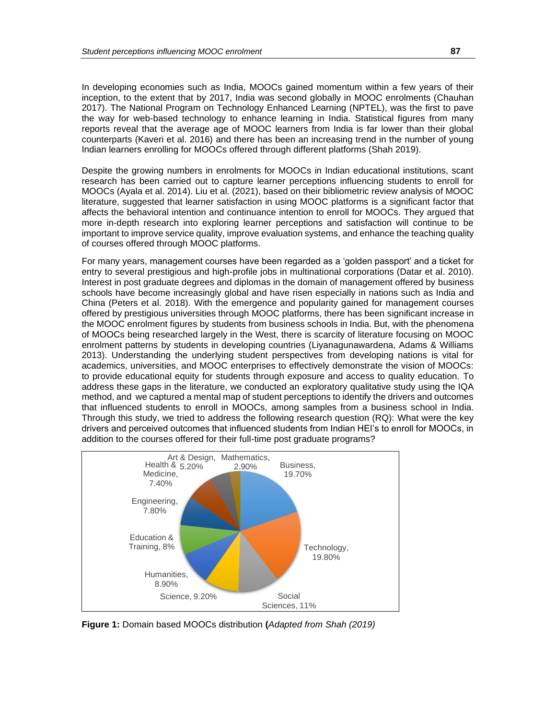In developing economies such as India, MOOCs gained momentum within a few years of their inception, to the extent that by 2017, India was second globally in MOOC enrolments (Chauhan 2017). The National Program on Technology Enhanced Learning (NPTEL), was the first to pave the way for web-based technology to enhance learning in India. Statistical figures from many reports reveal that the average age of MOOC learners from India is far lower than their global counterparts (Kaveri et al. 2016) and there has been an increasing trend in the number of young Indian learners enrolling for MOOCs offered through different platforms (Shah 2019).

Despite the growing numbers in enrolments for MOOCs in Indian educational institutions, scant research has been carried out to capture learner perceptions influencing students to enroll for MOOCs (Ayala et al. 2014). Liu et al. (2021), based on their bibliometric review analysis of MOOC literature, suggested that learner satisfaction in using MOOC platforms is a significant factor that affects the behavioral intention and continuance intention to enroll for MOOCs. They argued that more in-depth research into exploring learner perceptions and satisfaction will continue to be important to improve service quality, improve evaluation systems, and enhance the teaching quality of courses offered through MOOC platforms.

For many years, management courses have been regarded as a 'golden passport' and a ticket for entry to several prestigious and high-profile jobs in multinational corporations (Datar et al. 2010). Interest in post graduate degrees and diplomas in the domain of management offered by business schools have become increasingly global and have risen especially in nations such as India and China (Peters et al. 2018). With the emergence and popularity gained for management courses offered by prestigious universities through MOOC platforms, there has been significant increase in the MOOC enrolment figures by students from business schools in India. But, with the phenomena of MOOCs being researched largely in the West, there is scarcity of literature focusing on MOOC enrolment patterns by students in developing countries (Liyanagunawardena, Adams & Williams 2013). Understanding the underlying student perspectives from developing nations is vital for academics, universities, and MOOC enterprises to effectively demonstrate the vision of MOOCs: to provide educational equity for students through exposure and access to quality education. To address these gaps in the literature, we conducted an exploratory qualitative study using the IQA method, and we captured a mental map of student perceptions to identify the drivers and outcomes that influenced students to enroll in MOOCs, among samples from a business school in India. Through this study, we tried to address the following research question (RQ): What were the key drivers and perceived outcomes that influenced students from Indian HEI's to enroll for MOOCs, in addition to the courses offered for their full-time post graduate programs?



**Figure 1:** Domain based MOOCs distribution **(***Adapted from Shah (2019)*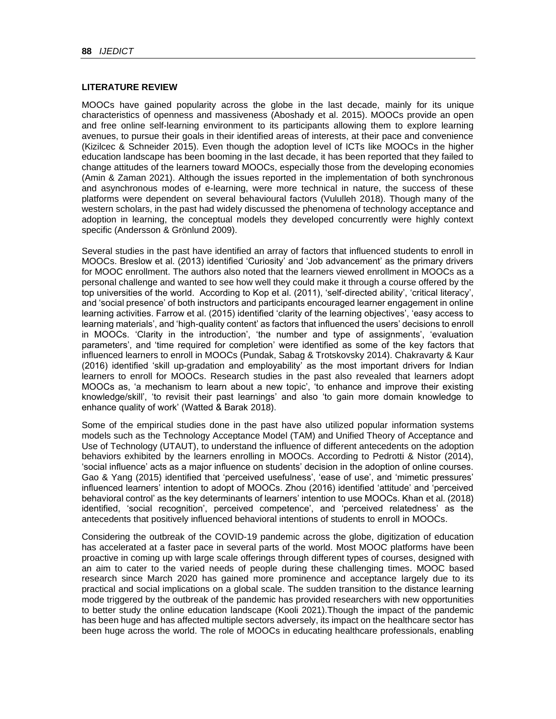## **LITERATURE REVIEW**

MOOCs have gained popularity across the globe in the last decade, mainly for its unique characteristics of openness and massiveness (Aboshady et al. 2015). MOOCs provide an open and free online self-learning environment to its participants allowing them to explore learning avenues, to pursue their goals in their identified areas of interests, at their pace and convenience (Kizilcec & Schneider 2015). Even though the adoption level of ICTs like MOOCs in the higher education landscape has been booming in the last decade, it has been reported that they failed to change attitudes of the learners toward MOOCs, especially those from the developing economies (Amin & Zaman 2021). Although the issues reported in the implementation of both synchronous and asynchronous modes of e-learning, were more technical in nature, the success of these platforms were dependent on several behavioural factors (Vululleh 2018). Though many of the western scholars, in the past had widely discussed the phenomena of technology acceptance and adoption in learning, the conceptual models they developed concurrently were highly context specific (Andersson & Grönlund 2009).

Several studies in the past have identified an array of factors that influenced students to enroll in MOOCs. Breslow et al. (2013) identified 'Curiosity' and 'Job advancement' as the primary drivers for MOOC enrollment. The authors also noted that the learners viewed enrollment in MOOCs as a personal challenge and wanted to see how well they could make it through a course offered by the top universities of the world. According to Kop et al. (2011), 'self-directed ability', 'critical literacy', and 'social presence' of both instructors and participants encouraged learner engagement in online learning activities. Farrow et al. (2015) identified 'clarity of the learning objectives', 'easy access to learning materials', and 'high-quality content' as factors that influenced the users' decisions to enroll in MOOCs. 'Clarity in the introduction', 'the number and type of assignments', 'evaluation parameters', and 'time required for completion' were identified as some of the key factors that influenced learners to enroll in MOOCs (Pundak, Sabag & Trotskovsky 2014). Chakravarty & Kaur  $(2016)$  identified 'skill up-gradation and employability' as the most important drivers for Indian learners to enroll for MOOCs. Research studies in the past also revealed that learners adopt MOOCs as, 'a mechanism to learn about a new topic', 'to enhance and improve their existing knowledge/skill', 'to revisit their past learnings' and also 'to gain more domain knowledge to enhance quality of work' (Watted & Barak 2018).

Some of the empirical studies done in the past have also utilized popular information systems models such as the Technology Acceptance Model (TAM) and Unified Theory of Acceptance and Use of Technology (UTAUT), to understand the influence of different antecedents on the adoption behaviors exhibited by the learners enrolling in MOOCs. According to Pedrotti & Nistor (2014), 'social influence' acts as a major influence on students' decision in the adoption of online courses. Gao & Yang (2015) identified that 'perceived usefulness', 'ease of use', and 'mimetic pressures' influenced learners' intention to adopt of MOOCs. Zhou (2016) identified 'attitude' and 'perceived behavioral control' as the key determinants of learners' intention to use MOOCs. Khan et al. (2018) identified, 'social recognition', perceived competence', and 'perceived relatedness' as the antecedents that positively influenced behavioral intentions of students to enroll in MOOCs.

Considering the outbreak of the COVID-19 pandemic across the globe, digitization of education has accelerated at a faster pace in several parts of the world. Most MOOC platforms have been proactive in coming up with large scale offerings through different types of courses, designed with an aim to cater to the varied needs of people during these challenging times. MOOC based research since March 2020 has gained more prominence and acceptance largely due to its practical and social implications on a global scale. The sudden transition to the distance learning mode triggered by the outbreak of the pandemic has provided researchers with new opportunities to better study the online education landscape (Kooli 2021).Though the impact of the pandemic has been huge and has affected multiple sectors adversely, its impact on the healthcare sector has been huge across the world. The role of MOOCs in educating healthcare professionals, enabling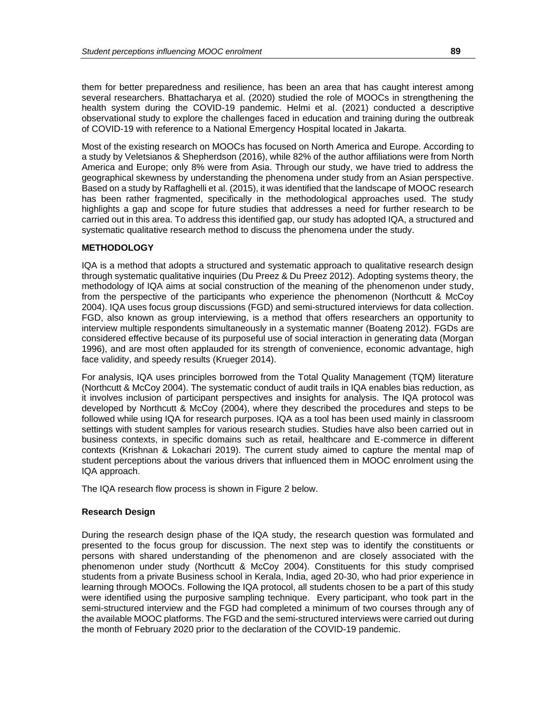them for better preparedness and resilience, has been an area that has caught interest among several researchers. Bhattacharya et al. (2020) studied the role of MOOCs in strengthening the health system during the COVID-19 pandemic. Helmi et al. (2021) conducted a descriptive observational study to explore the challenges faced in education and training during the outbreak of COVID-19 with reference to a National Emergency Hospital located in Jakarta.

Most of the existing research on MOOCs has focused on North America and Europe. According to a study by Veletsianos & Shepherdson (2016), while 82% of the author affiliations were from North America and Europe; only 8% were from Asia. Through our study, we have tried to address the geographical skewness by understanding the phenomena under study from an Asian perspective. Based on a study by Raffaghelli et al. (2015), it was identified that the landscape of MOOC research has been rather fragmented, specifically in the methodological approaches used. The study highlights a gap and scope for future studies that addresses a need for further research to be carried out in this area. To address this identified gap, our study has adopted IQA, a structured and systematic qualitative research method to discuss the phenomena under the study.

## **METHODOLOGY**

IQA is a method that adopts a structured and systematic approach to qualitative research design through systematic qualitative inquiries (Du Preez & Du Preez 2012). Adopting systems theory, the methodology of IQA aims at social construction of the meaning of the phenomenon under study, from the perspective of the participants who experience the phenomenon (Northcutt & McCoy 2004). IQA uses focus group discussions (FGD) and semi-structured interviews for data collection. FGD, also known as group interviewing, is a method that offers researchers an opportunity to interview multiple respondents simultaneously in a systematic manner (Boateng 2012). FGDs are considered effective because of its purposeful use of social interaction in generating data (Morgan 1996), and are most often applauded for its strength of convenience, economic advantage, high face validity, and speedy results (Krueger 2014).

For analysis, IQA uses principles borrowed from the Total Quality Management (TQM) literature (Northcutt & McCoy 2004). The systematic conduct of audit trails in IQA enables bias reduction, as it involves inclusion of participant perspectives and insights for analysis. The IQA protocol was developed by Northcutt & McCoy (2004), where they described the procedures and steps to be followed while using IQA for research purposes. IQA as a tool has been used mainly in classroom settings with student samples for various research studies. Studies have also been carried out in business contexts, in specific domains such as retail, healthcare and E-commerce in different contexts (Krishnan & Lokachari 2019). The current study aimed to capture the mental map of student perceptions about the various drivers that influenced them in MOOC enrolment using the IQA approach.

The IQA research flow process is shown in Figure 2 below.

## **Research Design**

During the research design phase of the IQA study, the research question was formulated and presented to the focus group for discussion. The next step was to identify the constituents or persons with shared understanding of the phenomenon and are closely associated with the phenomenon under study (Northcutt & McCoy 2004). Constituents for this study comprised students from a private Business school in Kerala, India, aged 20-30, who had prior experience in learning through MOOCs. Following the IQA protocol, all students chosen to be a part of this study were identified using the purposive sampling technique. Every participant, who took part in the semi-structured interview and the FGD had completed a minimum of two courses through any of the available MOOC platforms. The FGD and the semi-structured interviews were carried out during the month of February 2020 prior to the declaration of the COVID-19 pandemic.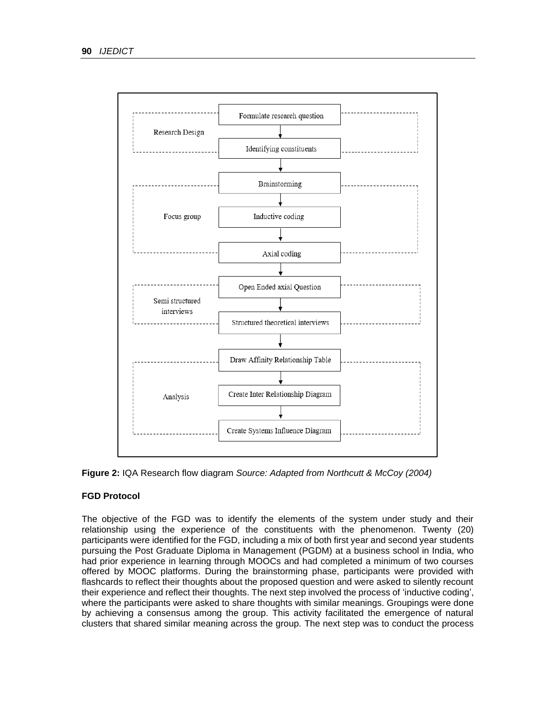

**Figure 2:** IQA Research flow diagram *Source: Adapted from Northcutt & McCoy (2004)*

## **FGD Protocol**

The objective of the FGD was to identify the elements of the system under study and their relationship using the experience of the constituents with the phenomenon. Twenty (20) participants were identified for the FGD, including a mix of both first year and second year students pursuing the Post Graduate Diploma in Management (PGDM) at a business school in India, who had prior experience in learning through MOOCs and had completed a minimum of two courses offered by MOOC platforms. During the brainstorming phase, participants were provided with flashcards to reflect their thoughts about the proposed question and were asked to silently recount their experience and reflect their thoughts. The next step involved the process of 'inductive coding', where the participants were asked to share thoughts with similar meanings. Groupings were done by achieving a consensus among the group. This activity facilitated the emergence of natural clusters that shared similar meaning across the group. The next step was to conduct the process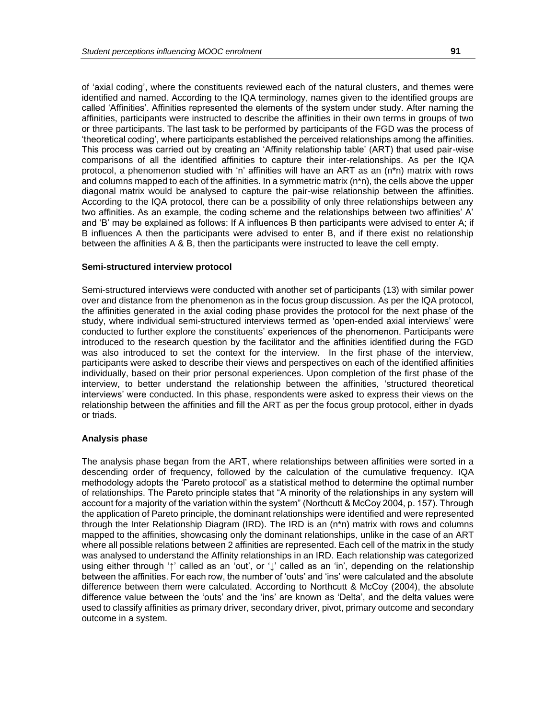of 'axial coding', where the constituents reviewed each of the natural clusters, and themes were identified and named. According to the IQA terminology, names given to the identified groups are called 'Affinities'. Affinities represented the elements of the system under study. After naming the affinities, participants were instructed to describe the affinities in their own terms in groups of two or three participants. The last task to be performed by participants of the FGD was the process of 'theoretical coding', where participants established the perceived relationships among the affinities. This process was carried out by creating an 'Affinity relationship table' (ART) that used pair-wise comparisons of all the identified affinities to capture their inter-relationships. As per the IQA protocol, a phenomenon studied with 'n' affinities will have an ART as an (n\*n) matrix with rows and columns mapped to each of the affinities. In a symmetric matrix (n\*n), the cells above the upper diagonal matrix would be analysed to capture the pair-wise relationship between the affinities. According to the IQA protocol, there can be a possibility of only three relationships between any two affinities. As an example, the coding scheme and the relationships between two affinities' A' and 'B' may be explained as follows: If A influences B then participants were advised to enter A; if B influences A then the participants were advised to enter B, and if there exist no relationship between the affinities A & B, then the participants were instructed to leave the cell empty.

#### **Semi-structured interview protocol**

Semi-structured interviews were conducted with another set of participants (13) with similar power over and distance from the phenomenon as in the focus group discussion. As per the IQA protocol, the affinities generated in the axial coding phase provides the protocol for the next phase of the study, where individual semi-structured interviews termed as 'open-ended axial interviews' were conducted to further explore the constituents' experiences of the phenomenon. Participants were introduced to the research question by the facilitator and the affinities identified during the FGD was also introduced to set the context for the interview. In the first phase of the interview, participants were asked to describe their views and perspectives on each of the identified affinities individually, based on their prior personal experiences. Upon completion of the first phase of the interview, to better understand the relationship between the affinities, 'structured theoretical interviews' were conducted. In this phase, respondents were asked to express their views on the relationship between the affinities and fill the ART as per the focus group protocol, either in dyads or triads.

#### **Analysis phase**

The analysis phase began from the ART, where relationships between affinities were sorted in a descending order of frequency, followed by the calculation of the cumulative frequency. IQA methodology adopts the 'Pareto protocol' as a statistical method to determine the optimal number of relationships. The Pareto principle states that "A minority of the relationships in any system will account for a majority of the variation within the system" (Northcutt & McCoy 2004, p. 157). Through the application of Pareto principle, the dominant relationships were identified and were represented through the Inter Relationship Diagram (IRD). The IRD is an (n\*n) matrix with rows and columns mapped to the affinities, showcasing only the dominant relationships, unlike in the case of an ART where all possible relations between 2 affinities are represented. Each cell of the matrix in the study was analysed to understand the Affinity relationships in an IRD. Each relationship was categorized using either through '↑' called as an 'out', or '↓' called as an 'in', depending on the relationship between the affinities. For each row, the number of 'outs' and 'ins' were calculated and the absolute difference between them were calculated. According to Northcutt & McCoy (2004), the absolute difference value between the 'outs' and the 'ins' are known as 'Delta', and the delta values were used to classify affinities as primary driver, secondary driver, pivot, primary outcome and secondary outcome in a system.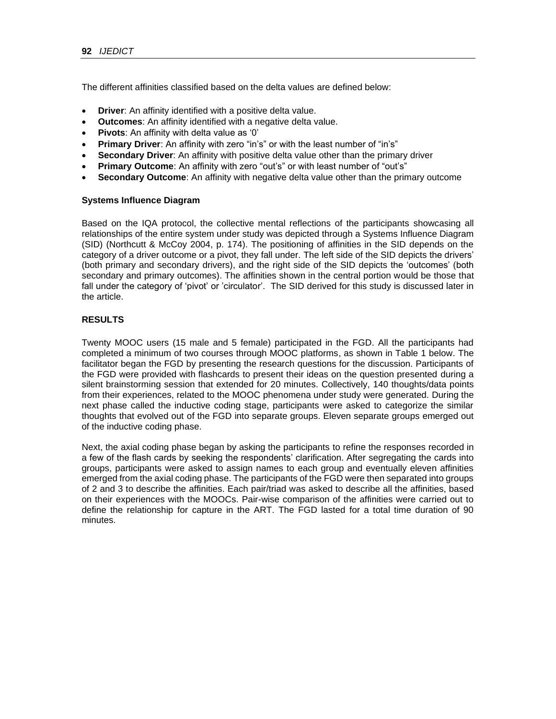The different affinities classified based on the delta values are defined below:

- **Driver**: An affinity identified with a positive delta value.
- **Outcomes**: An affinity identified with a negative delta value.
- **Pivots**: An affinity with delta value as '0'
- **Primary Driver:** An affinity with zero "in's" or with the least number of "in's"
- **Secondary Driver:** An affinity with positive delta value other than the primary driver
- **Primary Outcome**: An affinity with zero "out's" or with least number of "out's"
- **Secondary Outcome**: An affinity with negative delta value other than the primary outcome

#### **Systems Influence Diagram**

Based on the IQA protocol, the collective mental reflections of the participants showcasing all relationships of the entire system under study was depicted through a Systems Influence Diagram (SID) (Northcutt & McCoy 2004, p. 174). The positioning of affinities in the SID depends on the category of a driver outcome or a pivot, they fall under. The left side of the SID depicts the drivers' (both primary and secondary drivers), and the right side of the SID depicts the 'outcomes' (both secondary and primary outcomes). The affinities shown in the central portion would be those that fall under the category of 'pivot' or 'circulator'. The SID derived for this study is discussed later in the article.

## **RESULTS**

Twenty MOOC users (15 male and 5 female) participated in the FGD. All the participants had completed a minimum of two courses through MOOC platforms, as shown in Table 1 below. The facilitator began the FGD by presenting the research questions for the discussion. Participants of the FGD were provided with flashcards to present their ideas on the question presented during a silent brainstorming session that extended for 20 minutes. Collectively, 140 thoughts/data points from their experiences, related to the MOOC phenomena under study were generated. During the next phase called the inductive coding stage, participants were asked to categorize the similar thoughts that evolved out of the FGD into separate groups. Eleven separate groups emerged out of the inductive coding phase.

Next, the axial coding phase began by asking the participants to refine the responses recorded in a few of the flash cards by seeking the respondents' clarification. After segregating the cards into groups, participants were asked to assign names to each group and eventually eleven affinities emerged from the axial coding phase. The participants of the FGD were then separated into groups of 2 and 3 to describe the affinities. Each pair/triad was asked to describe all the affinities, based on their experiences with the MOOCs. Pair-wise comparison of the affinities were carried out to define the relationship for capture in the ART. The FGD lasted for a total time duration of 90 minutes.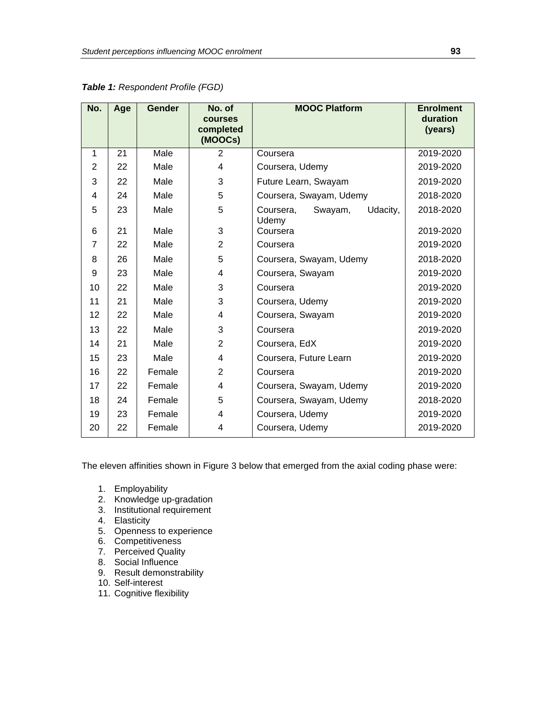| No.            | Age | <b>Gender</b> | No. of<br>courses<br>completed<br>(MOOCs) | <b>MOOC Platform</b>                      | <b>Enrolment</b><br>duration<br>(years) |
|----------------|-----|---------------|-------------------------------------------|-------------------------------------------|-----------------------------------------|
| 1              | 21  | Male          | 2                                         | Coursera                                  | 2019-2020                               |
| $\overline{2}$ | 22  | Male          | 4                                         | Coursera, Udemy                           | 2019-2020                               |
| 3              | 22  | Male          | 3                                         | Future Learn, Swayam                      | 2019-2020                               |
| 4              | 24  | Male          | 5                                         | Coursera, Swayam, Udemy                   | 2018-2020                               |
| 5              | 23  | Male          | 5                                         | Swayam,<br>Udacity,<br>Coursera,<br>Udemy | 2018-2020                               |
| 6              | 21  | Male          | 3                                         | Coursera                                  | 2019-2020                               |
| $\overline{7}$ | 22  | Male          | $\overline{2}$                            | Coursera                                  | 2019-2020                               |
| 8              | 26  | Male          | 5                                         | Coursera, Swayam, Udemy                   | 2018-2020                               |
| 9              | 23  | Male          | 4                                         | Coursera, Swayam                          | 2019-2020                               |
| 10             | 22  | Male          | 3                                         | Coursera                                  | 2019-2020                               |
| 11             | 21  | Male          | 3                                         | Coursera, Udemy                           | 2019-2020                               |
| 12             | 22  | Male          | 4                                         | Coursera, Swayam                          | 2019-2020                               |
| 13             | 22  | Male          | 3                                         | Coursera                                  | 2019-2020                               |
| 14             | 21  | Male          | $\overline{2}$                            | Coursera, EdX                             | 2019-2020                               |
| 15             | 23  | Male          | 4                                         | Coursera, Future Learn                    | 2019-2020                               |
| 16             | 22  | Female        | $\overline{2}$                            | Coursera                                  | 2019-2020                               |
| 17             | 22  | Female        | 4                                         | Coursera, Swayam, Udemy                   | 2019-2020                               |
| 18             | 24  | Female        | 5                                         | Coursera, Swayam, Udemy                   | 2018-2020                               |
| 19             | 23  | Female        | 4                                         | Coursera, Udemy                           | 2019-2020                               |
| 20             | 22  | Female        | 4                                         | Coursera, Udemy                           | 2019-2020                               |

*Table 1: Respondent Profile (FGD)*

The eleven affinities shown in Figure 3 below that emerged from the axial coding phase were:

- 1. Employability
- 2. Knowledge up-gradation
- 3. Institutional requirement
- 4. Elasticity
- 5. Openness to experience
- 6. Competitiveness
- 7. Perceived Quality
- 8. Social Influence
- 9. Result demonstrability
- 10. Self-interest
- 11. Cognitive flexibility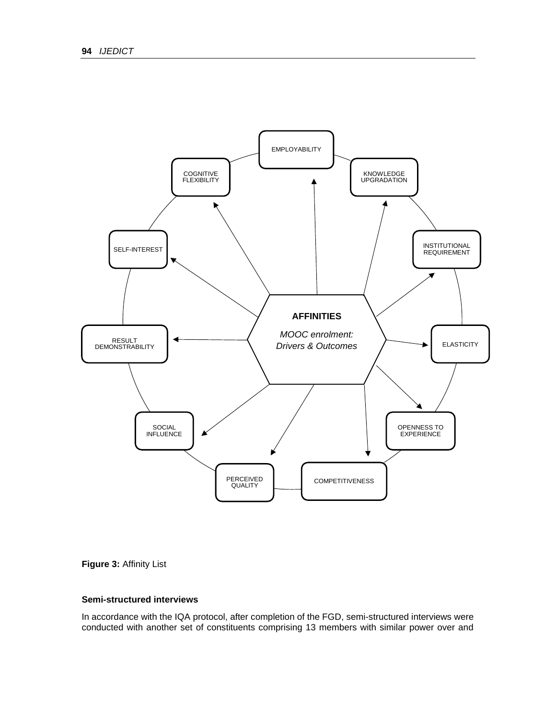

## **Figure 3:** Affinity List

## **Semi-structured interviews**

In accordance with the IQA protocol, after completion of the FGD, semi-structured interviews were conducted with another set of constituents comprising 13 members with similar power over and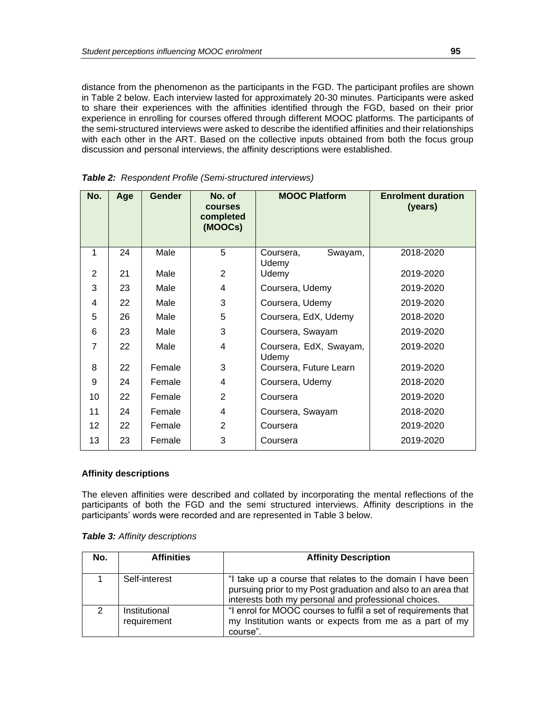distance from the phenomenon as the participants in the FGD. The participant profiles are shown in Table 2 below. Each interview lasted for approximately 20-30 minutes. Participants were asked to share their experiences with the affinities identified through the FGD, based on their prior experience in enrolling for courses offered through different MOOC platforms. The participants of the semi-structured interviews were asked to describe the identified affinities and their relationships with each other in the ART. Based on the collective inputs obtained from both the focus group discussion and personal interviews, the affinity descriptions were established.

| No. | Age | <b>Gender</b> | No. of<br><b>courses</b><br>completed<br>(MOOCs) | <b>MOOC Platform</b>            | <b>Enrolment duration</b><br>(years) |
|-----|-----|---------------|--------------------------------------------------|---------------------------------|--------------------------------------|
| 1   | 24  | Male          | 5                                                | Swayam,<br>Coursera,<br>Udemy   | 2018-2020                            |
| 2   | 21  | Male          | $\overline{2}$                                   | Udemy                           | 2019-2020                            |
| 3   | 23  | Male          | 4                                                | Coursera, Udemy                 | 2019-2020                            |
| 4   | 22  | Male          | 3                                                | Coursera, Udemy                 | 2019-2020                            |
| 5   | 26  | Male          | 5                                                | Coursera, EdX, Udemy            | 2018-2020                            |
| 6   | 23  | Male          | 3                                                | Coursera, Swayam                | 2019-2020                            |
| 7   | 22  | Male          | $\overline{4}$                                   | Coursera, EdX, Swayam,<br>Udemy | 2019-2020                            |
| 8   | 22  | Female        | 3                                                | Coursera, Future Learn          | 2019-2020                            |
| 9   | 24  | Female        | 4                                                | Coursera, Udemy                 | 2018-2020                            |
| 10  | 22  | Female        | $\mathbf{2}$                                     | Coursera                        | 2019-2020                            |
| 11  | 24  | Female        | 4                                                | Coursera, Swayam                | 2018-2020                            |
| 12  | 22  | Female        | 2                                                | Coursera                        | 2019-2020                            |
| 13  | 23  | Female        | 3                                                | Coursera                        | 2019-2020                            |

*Table 2: Respondent Profile (Semi-structured interviews)*

#### **Affinity descriptions**

The eleven affinities were described and collated by incorporating the mental reflections of the participants of both the FGD and the semi structured interviews. Affinity descriptions in the participants' words were recorded and are represented in Table 3 below.

|  |  | <b>Table 3: Affinity descriptions</b> |
|--|--|---------------------------------------|
|--|--|---------------------------------------|

| No. | <b>Affinities</b>            | <b>Affinity Description</b>                                                                                                                                                         |
|-----|------------------------------|-------------------------------------------------------------------------------------------------------------------------------------------------------------------------------------|
|     | Self-interest                | "I take up a course that relates to the domain I have been<br>pursuing prior to my Post graduation and also to an area that<br>interests both my personal and professional choices. |
| 2   | Institutional<br>requirement | "I enrol for MOOC courses to fulfil a set of requirements that<br>my Institution wants or expects from me as a part of my<br>course".                                               |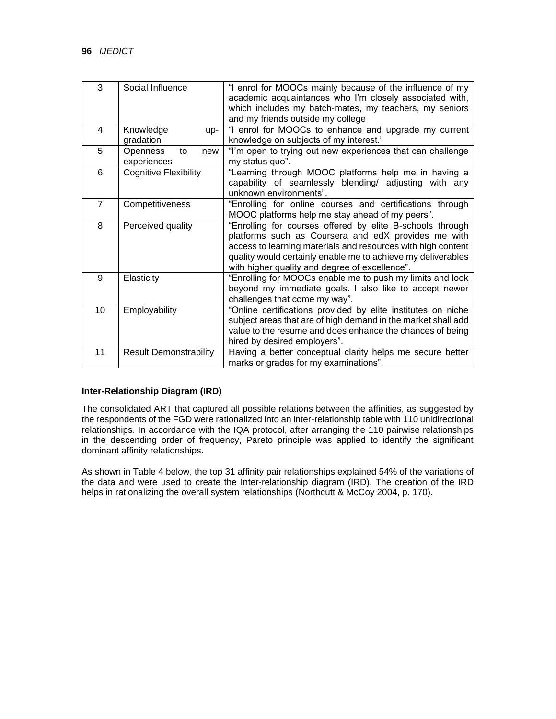| 3              | Social Influence                     | "I enrol for MOOCs mainly because of the influence of my<br>academic acquaintances who I'm closely associated with,<br>which includes my batch-mates, my teachers, my seniors<br>and my friends outside my college                                                                                 |  |  |  |  |  |  |
|----------------|--------------------------------------|----------------------------------------------------------------------------------------------------------------------------------------------------------------------------------------------------------------------------------------------------------------------------------------------------|--|--|--|--|--|--|
| 4              | Knowledge<br>up-<br>gradation        | "I enrol for MOOCs to enhance and upgrade my current<br>knowledge on subjects of my interest."                                                                                                                                                                                                     |  |  |  |  |  |  |
| 5              | Openness<br>to<br>new<br>experiences | "I'm open to trying out new experiences that can challenge<br>my status quo".                                                                                                                                                                                                                      |  |  |  |  |  |  |
| 6              | <b>Cognitive Flexibility</b>         | "Learning through MOOC platforms help me in having a<br>capability of seamlessly blending/ adjusting with any<br>unknown environments".                                                                                                                                                            |  |  |  |  |  |  |
| $\overline{7}$ | Competitiveness                      | "Enrolling for online courses and certifications through<br>MOOC platforms help me stay ahead of my peers".                                                                                                                                                                                        |  |  |  |  |  |  |
| 8              | Perceived quality                    | "Enrolling for courses offered by elite B-schools through<br>platforms such as Coursera and edX provides me with<br>access to learning materials and resources with high content<br>quality would certainly enable me to achieve my deliverables<br>with higher quality and degree of excellence". |  |  |  |  |  |  |
| 9              | Elasticity                           | "Enrolling for MOOCs enable me to push my limits and look<br>beyond my immediate goals. I also like to accept newer<br>challenges that come my way".                                                                                                                                               |  |  |  |  |  |  |
| 10             | Employability                        | "Online certifications provided by elite institutes on niche<br>subject areas that are of high demand in the market shall add<br>value to the resume and does enhance the chances of being<br>hired by desired employers".                                                                         |  |  |  |  |  |  |
| 11             | <b>Result Demonstrability</b>        | Having a better conceptual clarity helps me secure better<br>marks or grades for my examinations".                                                                                                                                                                                                 |  |  |  |  |  |  |

## **Inter-Relationship Diagram (IRD)**

The consolidated ART that captured all possible relations between the affinities, as suggested by the respondents of the FGD were rationalized into an inter-relationship table with 110 unidirectional relationships. In accordance with the IQA protocol, after arranging the 110 pairwise relationships in the descending order of frequency, Pareto principle was applied to identify the significant dominant affinity relationships.

As shown in Table 4 below, the top 31 affinity pair relationships explained 54% of the variations of the data and were used to create the Inter-relationship diagram (IRD). The creation of the IRD helps in rationalizing the overall system relationships (Northcutt & McCoy 2004, p. 170).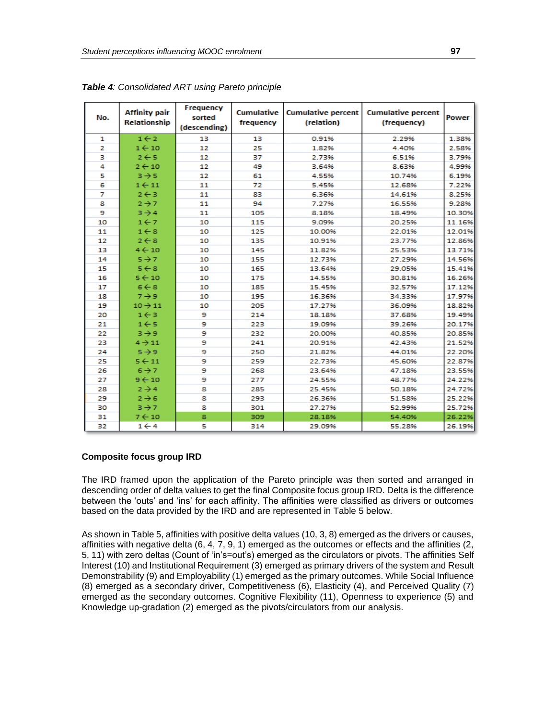| No. | <b>Affinity pair</b><br>Relationship | Frequency<br>sorted<br>(descending) | frequency | Cumulative   Cumulative percent  <br>(relation) | <b>Cumulative percent</b><br>(frequency) | <b>Power</b> |
|-----|--------------------------------------|-------------------------------------|-----------|-------------------------------------------------|------------------------------------------|--------------|
| 1   | $1 \leftarrow 2$                     | 13                                  | 13        | 0.91%                                           | 2.29%                                    | 1.38%        |
| 2   | $1 \leftarrow 10$                    | 12                                  | 25        | 1.82%                                           | 4.40%                                    | 2.58%        |
| з   | $2 \leftarrow 5$                     | 12                                  | 37        | 2.73%                                           | 6.51%                                    | 3.79%        |
| 4   | $2 \leftarrow 10$                    | 12                                  | 49        | 3.64%                                           | 8.63%                                    | 4.99%        |
| 5   | $3 \rightarrow 5$                    | 12                                  | 61        | 4.55%                                           | 10.74%                                   | 6.19%        |
| 6   | $1 \leftarrow 11$                    | 11                                  | 72        | 5.45%                                           | 12.68%                                   | 7.22%        |
| 7   | $2 \leftarrow 3$                     | 11                                  | 83        | 6.36%                                           | 14.61%                                   | 8.25%        |
| 8   | $2 \rightarrow 7$                    | 11                                  | 94        | 7.27%                                           | 16.55%                                   | 9.28%        |
| 9   | $3 \rightarrow 4$                    | 11                                  | 105       | 8.18%                                           | 18.49%                                   | 10.30%       |
| 10  | $1 \leftarrow 7$                     | 10                                  | 115       | 9.09%                                           | 20.25%                                   | 11.16%       |
| 11  | $1 \leftarrow 8$                     | 10                                  | 125       | 10.00%                                          | 22.01%                                   | 12.01%       |
| 12  | $2 \leftarrow 8$                     | 10                                  | 135       | 10.91%                                          | 23.77%                                   | 12.86%       |
| 13  | $4 \leftarrow 10$                    | 10                                  | 145       | 11.82%                                          | 25.53%                                   | 13.71%       |
| 14  | $5 \rightarrow 7$                    | 10                                  | 155       | 12.73%                                          | 27.29%                                   | 14.56%       |
| 15  | $5 \leftarrow 8$                     | 10                                  | 165       | 13.64%                                          | 29.05%                                   | 15.41%       |
| 16  | $5 \leftarrow 10$                    | 10                                  | 175       | 14.55%                                          | 30.81%                                   | 16.26%       |
| 17  | $6 \leftarrow 8$                     | 10                                  | 185       | 15.45%                                          | 32.57%                                   | 17.12%       |
| 18  | $7 \rightarrow 9$                    | 10                                  | 195       | 16.36%                                          | 34.33%                                   | 17.97%       |
| 19  | $10 \rightarrow 11$                  | 10                                  | 205       | 17.27%                                          | 36.09%                                   | 18.82%       |
| 20  | $1 \leftarrow 3$                     | 9                                   | 214       | 18.18%                                          | 37.68%                                   | 19.49%       |
| 21  | $1 \leftarrow 5$                     | 9                                   | 223       | 19.09%                                          | 39.26%                                   | 20.17%       |
| 22  | $3 + 9$                              | 9                                   | 232       | 20.00%                                          | 40.85%                                   | 20.85%       |
| 23  | $4 - 11$                             | 9                                   | 241       | 20.91%                                          | 42.43%                                   | 21.52%       |
| 24  | $5 \rightarrow 9$                    | 9                                   | 250       | 21.82%                                          | 44.01%                                   | 22.20%       |
| 25  | $5 \leftarrow 11$                    | 9                                   | 259       | 22.73%                                          | 45.60%                                   | 22.87%       |
| 26  | $6 \rightarrow 7$                    | 9                                   | 268       | 23.64%                                          | 47.18%                                   | 23.55%       |
| 27  | $9 \leftarrow 10$                    | 9                                   | 277       | 24.55%                                          | 48.77%                                   | 24.22%       |
| 28  | $2 \rightarrow 4$                    | 8                                   | 285       | 25.45%                                          | 50.18%                                   | 24.72%       |
| 29  | $2 \rightarrow 6$                    | 8                                   | 293       | 26.36%                                          | 51.58%                                   | 25.22%       |
| 30  | $3 \rightarrow 7$                    | 8                                   | 301       | 27.27%                                          | 52.99%                                   | 25.72%       |
| 31  | $7 + 10$                             | 8                                   | 309       | 28.18%                                          | 54.40%                                   | 26.22%       |
| 32  | $1 \leftarrow 4$                     | 5                                   | 314       | 29.09%                                          | 55.28%                                   | 26.19%       |

*Table 4: Consolidated ART using Pareto principle*

## **Composite focus group IRD**

The IRD framed upon the application of the Pareto principle was then sorted and arranged in descending order of delta values to get the final Composite focus group IRD. Delta is the difference between the 'outs' and 'ins' for each affinity. The affinities were classified as drivers or outcomes based on the data provided by the IRD and are represented in Table 5 below.

As shown in Table 5, affinities with positive delta values (10, 3, 8) emerged as the drivers or causes, affinities with negative delta  $(6, 4, 7, 9, 1)$  emerged as the outcomes or effects and the affinities  $(2, 1, 1)$ 5, 11) with zero deltas (Count of 'in's=out's) emerged as the circulators or pivots. The affinities Self Interest (10) and Institutional Requirement (3) emerged as primary drivers of the system and Result Demonstrability (9) and Employability (1) emerged as the primary outcomes. While Social Influence (8) emerged as a secondary driver, Competitiveness (6), Elasticity (4), and Perceived Quality (7) emerged as the secondary outcomes. Cognitive Flexibility (11), Openness to experience (5) and Knowledge up-gradation (2) emerged as the pivots/circulators from our analysis.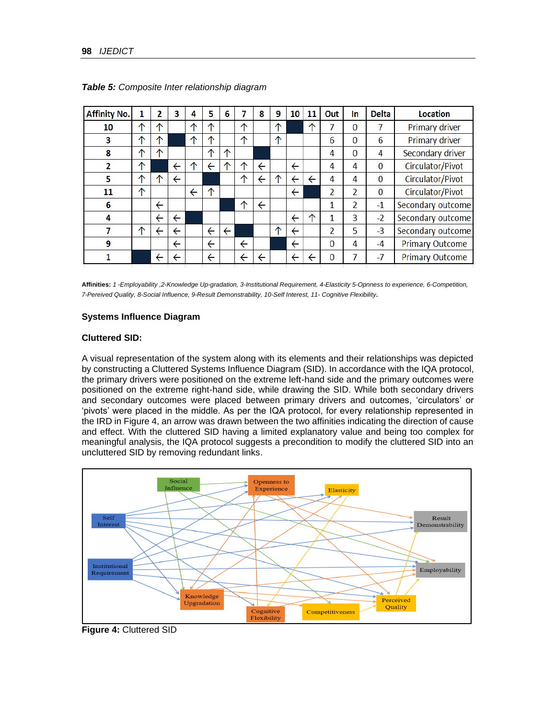| <b>Affinity No.</b> | 1          | 2                | 3            | 4            | 5            | 6                       |              | 8                       | 9  | 10           | 11 | Out      | In.           | <b>Delta</b> | <b>Location</b>        |
|---------------------|------------|------------------|--------------|--------------|--------------|-------------------------|--------------|-------------------------|----|--------------|----|----------|---------------|--------------|------------------------|
| 10                  | ∧          | ∧                |              | $\triangle$  | ∧            |                         | ∧            |                         | 个  |              | ᠰ  | 7        | $\Omega$      |              | Primary driver         |
| 3                   | $\uparrow$ | ∧                |              | ∧            | ∧            |                         | ᠰ            |                         | ↑  |              |    | 6        | $\Omega$      | 6            | Primary driver         |
| 8                   | ᠰ          | $\triangle$      |              |              | 个            | ᠰ                       |              |                         |    |              |    | 4        | $\Omega$      | 4            | Secondary driver       |
| $\overline{2}$      | $\uparrow$ |                  | $\leftarrow$ |              | $\leftarrow$ | ́                       | ∧            | $\leftarrow$            |    | ←            |    | 4        | 4             | $\Omega$     | Circulator/Pivot       |
| 5                   | ^          | $\triangleright$ | $\leftarrow$ |              |              |                         | ᠰ            | $\overline{\leftarrow}$ | ́∩ | ←            | ←  | 4        | 4             | $\Omega$     | Circulator/Pivot       |
| 11                  | ↑          |                  |              | $\leftarrow$ | ↑            |                         |              |                         |    | ←            |    | 2        | $\mathcal{P}$ | $\Omega$     | Circulator/Pivot       |
| 6                   |            | ←                |              |              |              |                         | ᠰ            | $\overline{\leftarrow}$ |    |              |    | 1        | 2             | $-1$         | Secondary outcome      |
| 4                   |            | ←                | ←            |              |              |                         |              |                         |    | ←            | ∧  | 1        | 3             | $-2$         | Secondary outcome      |
|                     | ↑          | ←                | ←            |              | $\leftarrow$ | $\overline{\leftarrow}$ |              |                         | ↑  | $\leftarrow$ |    | 2        | 5             | $-3$         | Secondary outcome      |
| 9                   |            |                  | ←            |              | $\leftarrow$ |                         | $\leftarrow$ |                         |    | ←            |    | $\Omega$ | 4             | $-4$         | <b>Primary Outcome</b> |
|                     |            |                  | ←            |              | $\leftarrow$ |                         |              | ←                       |    | ←            |    | 0        | 7             | $-7$         | <b>Primary Outcome</b> |

*Table 5: Composite Inter relationship diagram*

**Affinities:** *1 -Employability ,2-Knowledge Up-gradation, 3-Institutional Requirement, 4-Elasticity 5-Opnness to experience, 6-Competition, 7-Pereived Quality, 8-Social Influence, 9-Result Demonstrability, 10-Self Interest, 11- Cognitive Flexibility.* 

#### **Systems Influence Diagram**

#### **Cluttered SID:**

A visual representation of the system along with its elements and their relationships was depicted by constructing a Cluttered Systems Influence Diagram (SID). In accordance with the IQA protocol, the primary drivers were positioned on the extreme left-hand side and the primary outcomes were positioned on the extreme right-hand side, while drawing the SID. While both secondary drivers and secondary outcomes were placed between primary drivers and outcomes, 'circulators' or 'pivots' were placed in the middle. As per the IQA protocol, for every relationship represented in the IRD in Figure 4, an arrow was drawn between the two affinities indicating the direction of cause and effect. With the cluttered SID having a limited explanatory value and being too complex for meaningful analysis, the IQA protocol suggests a precondition to modify the cluttered SID into an uncluttered SID by removing redundant links.



**Figure 4:** Cluttered SID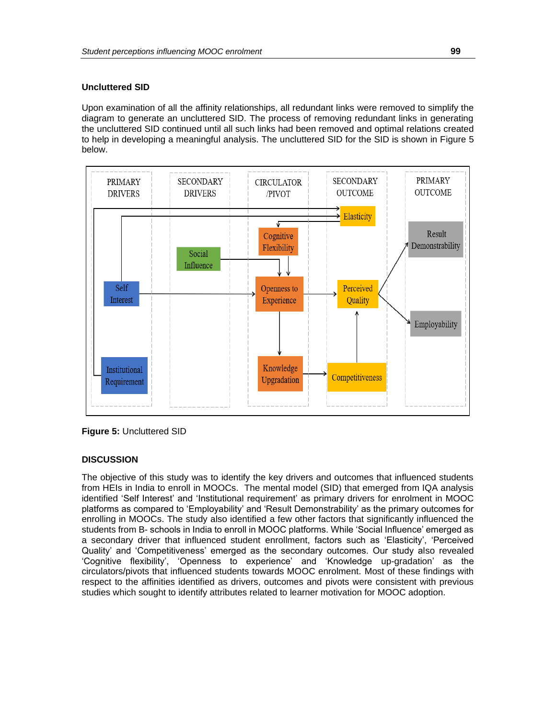## **Uncluttered SID**

Upon examination of all the affinity relationships, all redundant links were removed to simplify the diagram to generate an uncluttered SID. The process of removing redundant links in generating the uncluttered SID continued until all such links had been removed and optimal relations created to help in developing a meaningful analysis. The uncluttered SID for the SID is shown in Figure 5 below.



**Figure 5:** Uncluttered SID

## **DISCUSSION**

The objective of this study was to identify the key drivers and outcomes that influenced students from HEIs in India to enroll in MOOCs. The mental model (SID) that emerged from IQA analysis identified 'Self Interest' and 'Institutional requirement' as primary drivers for enrolment in MOOC platforms as compared to 'Employability' and 'Result Demonstrability' as the primary outcomes for enrolling in MOOCs. The study also identified a few other factors that significantly influenced the students from B- schools in India to enroll in MOOC platforms. While 'Social Influence' emerged as a secondary driver that influenced student enrollment, factors such as 'Elasticity', 'Perceived Quality' and 'Competitiveness' emerged as the secondary outcomes. Our study also revealed 'Cognitive flexibility', 'Openness to experience' and 'Knowledge up-gradation' as the circulators/pivots that influenced students towards MOOC enrolment. Most of these findings with respect to the affinities identified as drivers, outcomes and pivots were consistent with previous studies which sought to identify attributes related to learner motivation for MOOC adoption.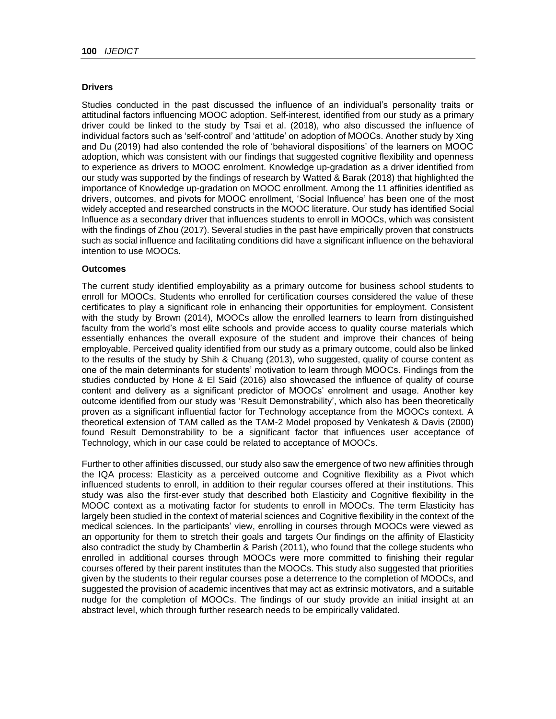## **Drivers**

Studies conducted in the past discussed the influence of an individual's personality traits or attitudinal factors influencing MOOC adoption. Self-interest, identified from our study as a primary driver could be linked to the study by Tsai et al. (2018), who also discussed the influence of individual factors such as 'self-control' and 'attitude' on adoption of MOOCs. Another study by Xing and Du (2019) had also contended the role of 'behavioral dispositions' of the learners on MOOC adoption, which was consistent with our findings that suggested cognitive flexibility and openness to experience as drivers to MOOC enrolment. Knowledge up-gradation as a driver identified from our study was supported by the findings of research by Watted & Barak (2018) that highlighted the importance of Knowledge up-gradation on MOOC enrollment. Among the 11 affinities identified as drivers, outcomes, and pivots for MOOC enrollment, 'Social Influence' has been one of the most widely accepted and researched constructs in the MOOC literature. Our study has identified Social Influence as a secondary driver that influences students to enroll in MOOCs, which was consistent with the findings of Zhou (2017). Several studies in the past have empirically proven that constructs such as social influence and facilitating conditions did have a significant influence on the behavioral intention to use MOOCs.

#### **Outcomes**

The current study identified employability as a primary outcome for business school students to enroll for MOOCs. Students who enrolled for certification courses considered the value of these certificates to play a significant role in enhancing their opportunities for employment. Consistent with the study by Brown (2014), MOOCs allow the enrolled learners to learn from distinguished faculty from the world's most elite schools and provide access to quality course materials which essentially enhances the overall exposure of the student and improve their chances of being employable. Perceived quality identified from our study as a primary outcome, could also be linked to the results of the study by Shih & Chuang (2013), who suggested, quality of course content as one of the main determinants for students' motivation to learn through MOOCs. Findings from the studies conducted by Hone & El Said (2016) also showcased the influence of quality of course content and delivery as a significant predictor of MOOCs' enrolment and usage. Another key outcome identified from our study was 'Result Demonstrability', which also has been theoretically proven as a significant influential factor for Technology acceptance from the MOOCs context. A theoretical extension of TAM called as the TAM-2 Model proposed by Venkatesh & Davis (2000) found Result Demonstrability to be a significant factor that influences user acceptance of Technology, which in our case could be related to acceptance of MOOCs.

Further to other affinities discussed, our study also saw the emergence of two new affinities through the IQA process: Elasticity as a perceived outcome and Cognitive flexibility as a Pivot which influenced students to enroll, in addition to their regular courses offered at their institutions. This study was also the first-ever study that described both Elasticity and Cognitive flexibility in the MOOC context as a motivating factor for students to enroll in MOOCs. The term Elasticity has largely been studied in the context of material sciences and Cognitive flexibility in the context of the medical sciences. In the participants' view, enrolling in courses through MOOCs were viewed as an opportunity for them to stretch their goals and targets Our findings on the affinity of Elasticity also contradict the study by Chamberlin & Parish (2011), who found that the college students who enrolled in additional courses through MOOCs were more committed to finishing their regular courses offered by their parent institutes than the MOOCs. This study also suggested that priorities given by the students to their regular courses pose a deterrence to the completion of MOOCs, and suggested the provision of academic incentives that may act as extrinsic motivators, and a suitable nudge for the completion of MOOCs. The findings of our study provide an initial insight at an abstract level, which through further research needs to be empirically validated.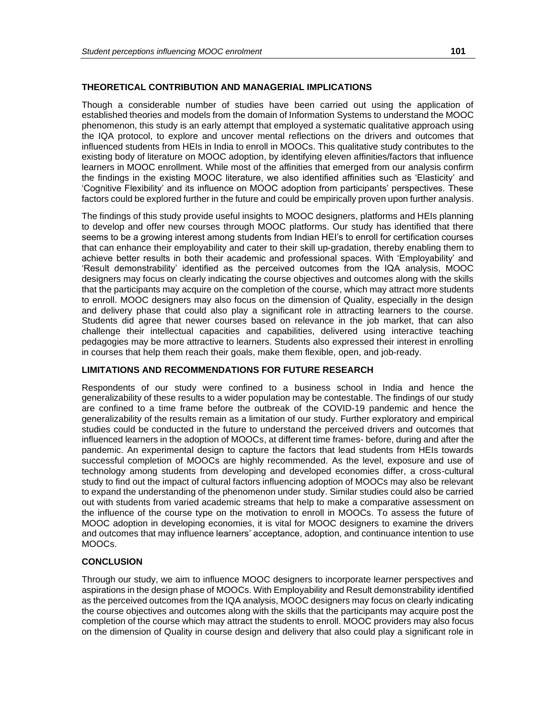## **THEORETICAL CONTRIBUTION AND MANAGERIAL IMPLICATIONS**

Though a considerable number of studies have been carried out using the application of established theories and models from the domain of Information Systems to understand the MOOC phenomenon, this study is an early attempt that employed a systematic qualitative approach using the IQA protocol, to explore and uncover mental reflections on the drivers and outcomes that influenced students from HEIs in India to enroll in MOOCs. This qualitative study contributes to the existing body of literature on MOOC adoption, by identifying eleven affinities/factors that influence learners in MOOC enrollment. While most of the affinities that emerged from our analysis confirm the findings in the existing MOOC literature, we also identified affinities such as 'Elasticity' and 'Cognitive Flexibility' and its influence on MOOC adoption from participants' perspectives. These factors could be explored further in the future and could be empirically proven upon further analysis.

The findings of this study provide useful insights to MOOC designers, platforms and HEIs planning to develop and offer new courses through MOOC platforms. Our study has identified that there seems to be a growing interest among students from Indian HEI's to enroll for certification courses that can enhance their employability and cater to their skill up-gradation, thereby enabling them to achieve better results in both their academic and professional spaces. With 'Employability' and 'Result demonstrability' identified as the perceived outcomes from the IQA analysis, MOOC designers may focus on clearly indicating the course objectives and outcomes along with the skills that the participants may acquire on the completion of the course, which may attract more students to enroll. MOOC designers may also focus on the dimension of Quality, especially in the design and delivery phase that could also play a significant role in attracting learners to the course. Students did agree that newer courses based on relevance in the job market, that can also challenge their intellectual capacities and capabilities, delivered using interactive teaching pedagogies may be more attractive to learners. Students also expressed their interest in enrolling in courses that help them reach their goals, make them flexible, open, and job-ready.

#### **LIMITATIONS AND RECOMMENDATIONS FOR FUTURE RESEARCH**

Respondents of our study were confined to a business school in India and hence the generalizability of these results to a wider population may be contestable. The findings of our study are confined to a time frame before the outbreak of the COVID-19 pandemic and hence the generalizability of the results remain as a limitation of our study. Further exploratory and empirical studies could be conducted in the future to understand the perceived drivers and outcomes that influenced learners in the adoption of MOOCs, at different time frames- before, during and after the pandemic. An experimental design to capture the factors that lead students from HEIs towards successful completion of MOOCs are highly recommended. As the level, exposure and use of technology among students from developing and developed economies differ, a cross-cultural study to find out the impact of cultural factors influencing adoption of MOOCs may also be relevant to expand the understanding of the phenomenon under study. Similar studies could also be carried out with students from varied academic streams that help to make a comparative assessment on the influence of the course type on the motivation to enroll in MOOCs. To assess the future of MOOC adoption in developing economies, it is vital for MOOC designers to examine the drivers and outcomes that may influence learners' acceptance, adoption, and continuance intention to use MOOCs.

## **CONCLUSION**

Through our study, we aim to influence MOOC designers to incorporate learner perspectives and aspirations in the design phase of MOOCs. With Employability and Result demonstrability identified as the perceived outcomes from the IQA analysis, MOOC designers may focus on clearly indicating the course objectives and outcomes along with the skills that the participants may acquire post the completion of the course which may attract the students to enroll. MOOC providers may also focus on the dimension of Quality in course design and delivery that also could play a significant role in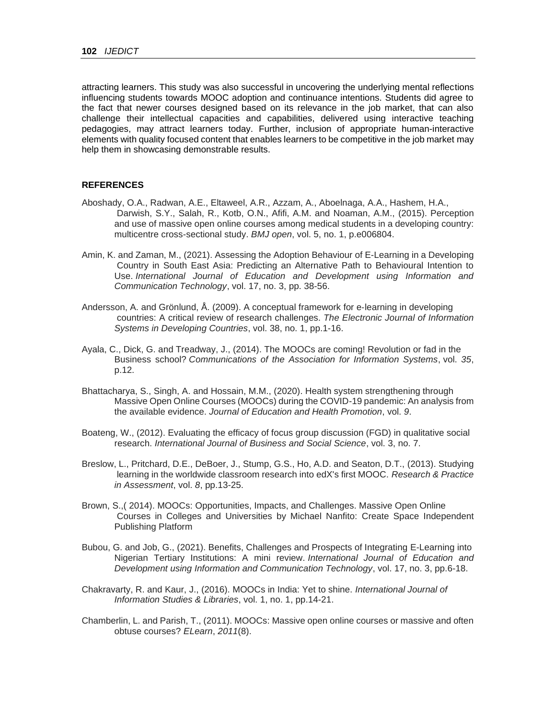attracting learners. This study was also successful in uncovering the underlying mental reflections influencing students towards MOOC adoption and continuance intentions. Students did agree to the fact that newer courses designed based on its relevance in the job market, that can also challenge their intellectual capacities and capabilities, delivered using interactive teaching pedagogies, may attract learners today. Further, inclusion of appropriate human-interactive elements with quality focused content that enables learners to be competitive in the job market may help them in showcasing demonstrable results.

#### **REFERENCES**

- Aboshady, O.A., Radwan, A.E., Eltaweel, A.R., Azzam, A., Aboelnaga, A.A., Hashem, H.A., Darwish, S.Y., Salah, R., Kotb, O.N., Afifi, A.M. and Noaman, A.M., (2015). Perception and use of massive open online courses among medical students in a developing country: multicentre cross-sectional study. *BMJ open*, vol. 5, no. 1, p.e006804.
- Amin, K. and Zaman, M., (2021). Assessing the Adoption Behaviour of E-Learning in a Developing Country in South East Asia: Predicting an Alternative Path to Behavioural Intention to Use. *International Journal of Education and Development using Information and Communication Technology*, vol. 17, no. 3, pp. 38-56.
- Andersson, A. and Grönlund, Å. (2009). A conceptual framework for e‐learning in developing countries: A critical review of research challenges. *The Electronic Journal of Information Systems in Developing Countries*, vol. 38, no. 1, pp.1-16.
- Ayala, C., Dick, G. and Treadway, J., (2014). The MOOCs are coming! Revolution or fad in the Business school? *Communications of the Association for Information Systems*, vol. *35*, p.12.
- Bhattacharya, S., Singh, A. and Hossain, M.M., (2020). Health system strengthening through Massive Open Online Courses (MOOCs) during the COVID-19 pandemic: An analysis from the available evidence. *Journal of Education and Health Promotion*, vol. *9*.
- Boateng, W., (2012). Evaluating the efficacy of focus group discussion (FGD) in qualitative social research. *International Journal of Business and Social Science*, vol. 3, no. 7.
- Breslow, L., Pritchard, D.E., DeBoer, J., Stump, G.S., Ho, A.D. and Seaton, D.T., (2013). Studying learning in the worldwide classroom research into edX's first MOOC. *Research & Practice in Assessment*, vol. *8*, pp.13-25.
- Brown, S.,( 2014). MOOCs: Opportunities, Impacts, and Challenges. Massive Open Online Courses in Colleges and Universities by Michael Nanfito: Create Space Independent Publishing Platform
- Bubou, G. and Job, G., (2021). Benefits, Challenges and Prospects of Integrating E-Learning into Nigerian Tertiary Institutions: A mini review. *International Journal of Education and Development using Information and Communication Technology*, vol. 17, no. 3, pp.6-18.
- Chakravarty, R. and Kaur, J., (2016). MOOCs in India: Yet to shine. *International Journal of Information Studies & Libraries*, vol. 1, no. 1, pp.14-21.
- Chamberlin, L. and Parish, T., (2011). MOOCs: Massive open online courses or massive and often obtuse courses? *ELearn*, *2011*(8).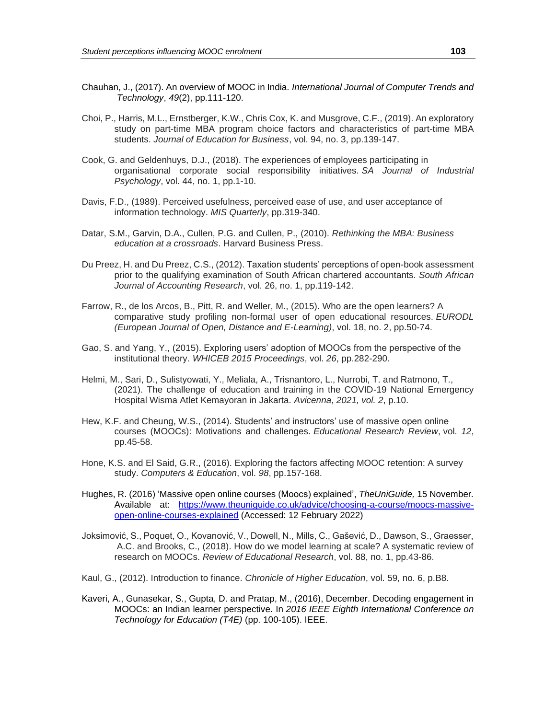- Chauhan, J., (2017). An overview of MOOC in India. *International Journal of Computer Trends and Technology*, *49*(2), pp.111-120.
- Choi, P., Harris, M.L., Ernstberger, K.W., Chris Cox, K. and Musgrove, C.F., (2019). An exploratory study on part-time MBA program choice factors and characteristics of part-time MBA students. *Journal of Education for Business*, vol. 94, no. 3, pp.139-147.
- Cook, G. and Geldenhuys, D.J., (2018). The experiences of employees participating in organisational corporate social responsibility initiatives. *SA Journal of Industrial Psychology*, vol. 44, no. 1, pp.1-10.
- Davis, F.D., (1989). Perceived usefulness, perceived ease of use, and user acceptance of information technology. *MIS Quarterly*, pp.319-340.
- Datar, S.M., Garvin, D.A., Cullen, P.G. and Cullen, P., (2010). *Rethinking the MBA: Business education at a crossroads*. Harvard Business Press.
- Du Preez, H. and Du Preez, C.S., (2012). Taxation students' perceptions of open-book assessment prior to the qualifying examination of South African chartered accountants. *South African Journal of Accounting Research*, vol. 26, no. 1, pp.119-142.
- Farrow, R., de los Arcos, B., Pitt, R. and Weller, M., (2015). Who are the open learners? A comparative study profiling non-formal user of open educational resources. *EURODL (European Journal of Open, Distance and E-Learning)*, vol. 18, no. 2, pp.50-74.
- Gao, S. and Yang, Y., (2015). Exploring users' adoption of MOOCs from the perspective of the institutional theory. *WHICEB 2015 Proceedings*, vol. *26*, pp.282-290.
- Helmi, M., Sari, D., Sulistyowati, Y., Meliala, A., Trisnantoro, L., Nurrobi, T. and Ratmono, T., (2021). The challenge of education and training in the COVID-19 National Emergency Hospital Wisma Atlet Kemayoran in Jakarta. *Avicenna*, *2021, vol. 2*, p.10.
- Hew, K.F. and Cheung, W.S., (2014). Students' and instructors' use of massive open online courses (MOOCs): Motivations and challenges. *Educational Research Review*, vol. *12*, pp.45-58.
- Hone, K.S. and El Said, G.R., (2016). Exploring the factors affecting MOOC retention: A survey study. *Computers & Education*, vol. *98*, pp.157-168.
- Hughes, R. (2016) 'Massive open online courses (Moocs) explained', *TheUniGuide,* 15 November*.* Available at: [https://www.theuniguide.co.uk/advice/choosing-a-course/moocs-massive](https://www.theuniguide.co.uk/advice/choosing-a-course/moocs-massive-open-online-courses-explained)[open-online-courses-explained](https://www.theuniguide.co.uk/advice/choosing-a-course/moocs-massive-open-online-courses-explained) (Accessed: 12 February 2022)
- Joksimović, S., Poquet, O., Kovanović, V., Dowell, N., Mills, C., Gašević, D., Dawson, S., Graesser, A.C. and Brooks, C., (2018). How do we model learning at scale? A systematic review of research on MOOCs. *Review of Educational Research*, vol. 88, no. 1, pp.43-86.
- Kaul, G., (2012). Introduction to finance. *Chronicle of Higher Education*, vol. 59, no. 6, p.B8.
- Kaveri, A., Gunasekar, S., Gupta, D. and Pratap, M., (2016), December. Decoding engagement in MOOCs: an Indian learner perspective. In *2016 IEEE Eighth International Conference on Technology for Education (T4E)* (pp. 100-105). IEEE.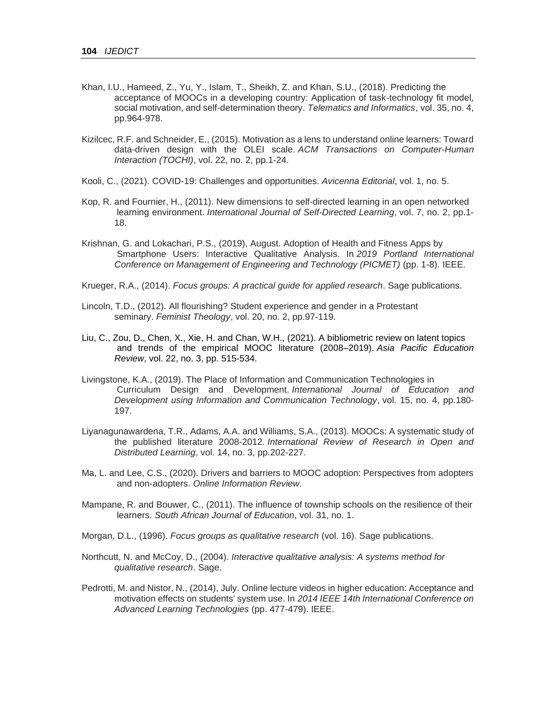- Khan, I.U., Hameed, Z., Yu, Y., Islam, T., Sheikh, Z. and Khan, S.U., (2018). Predicting the acceptance of MOOCs in a developing country: Application of task-technology fit model, social motivation, and self-determination theory. *Telematics and Informatics*, vol. 35, no. 4, pp.964-978.
- Kizilcec, R.F. and Schneider, E., (2015). Motivation as a lens to understand online learners: Toward data-driven design with the OLEI scale. *ACM Transactions on Computer-Human Interaction (TOCHI)*, vol. 22, no. 2, pp.1-24.
- Kooli, C., (2021). COVID-19: Challenges and opportunities. *Avicenna Editorial*, vol. 1, no. 5.
- Kop, R. and Fournier, H., (2011). New dimensions to self-directed learning in an open networked learning environment. *International Journal of Self-Directed Learning*, vol. 7, no. 2, pp.1- 18.
- Krishnan, G. and Lokachari, P.S., (2019), August. Adoption of Health and Fitness Apps by Smartphone Users: Interactive Qualitative Analysis. In *2019 Portland International Conference on Management of Engineering and Technology (PICMET)* (pp. 1-8). IEEE.
- Krueger, R.A., (2014). *Focus groups: A practical guide for applied research*. Sage publications.
- Lincoln, T.D., (2012). All flourishing? Student experience and gender in a Protestant seminary. *Feminist Theology*, vol. 20, no. 2, pp.97-119.
- Liu, C., Zou, D., Chen, X., Xie, H. and Chan, W.H., (2021). A bibliometric review on latent topics and trends of the empirical MOOC literature (2008–2019). *Asia Pacific Education Review*, vol. 22, no. 3, pp. 515-534.
- Livingstone, K.A., (2019). The Place of Information and Communication Technologies in Curriculum Design and Development. *International Journal of Education and Development using Information and Communication Technology*, vol. 15, no. 4, pp.180- 197.
- Liyanagunawardena, T.R., Adams, A.A. and Williams, S.A., (2013). MOOCs: A systematic study of the published literature 2008-2012. *International Review of Research in Open and Distributed Learning*, vol. 14, no. 3, pp.202-227.
- Ma, L. and Lee, C.S., (2020). Drivers and barriers to MOOC adoption: Perspectives from adopters and non-adopters. *Online Information Review*.
- Mampane, R. and Bouwer, C., (2011). The influence of township schools on the resilience of their learners. *South African Journal of Education*, vol. 31, no. 1.
- Morgan, D.L., (1996). *Focus groups as qualitative research* (vol. 16). Sage publications.
- Northcutt, N. and McCoy, D., (2004). *Interactive qualitative analysis: A systems method for qualitative research*. Sage.
- Pedrotti, M. and Nistor, N., (2014), July. Online lecture videos in higher education: Acceptance and motivation effects on students' system use. In *2014 IEEE 14th International Conference on Advanced Learning Technologies* (pp. 477-479). IEEE.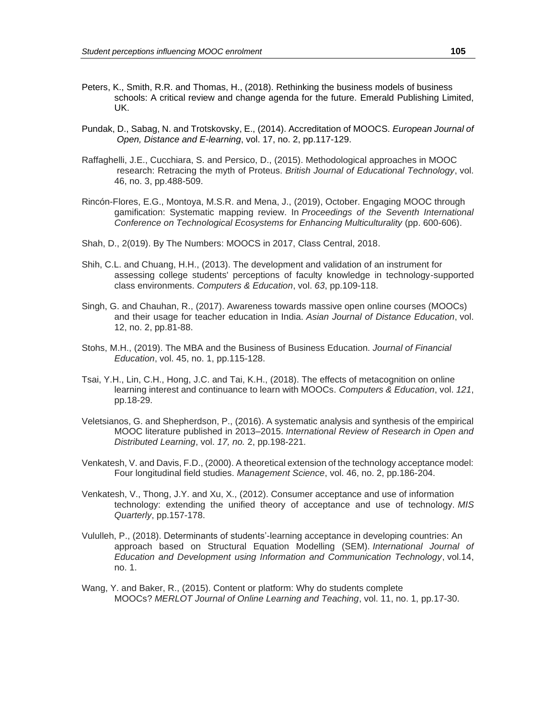- Peters, K., Smith, R.R. and Thomas, H., (2018). Rethinking the business models of business schools: A critical review and change agenda for the future. Emerald Publishing Limited, UK.
- Pundak, D., Sabag, N. and Trotskovsky, E., (2014). Accreditation of MOOCS. *European Journal of Open, Distance and E-learning*, vol. 17, no. 2, pp.117-129.
- Raffaghelli, J.E., Cucchiara, S. and Persico, D., (2015). Methodological approaches in MOOC research: Retracing the myth of Proteus. *British Journal of Educational Technology*, vol. 46, no. 3, pp.488-509.
- Rincón-Flores, E.G., Montoya, M.S.R. and Mena, J., (2019), October. Engaging MOOC through gamification: Systematic mapping review. In *Proceedings of the Seventh International Conference on Technological Ecosystems for Enhancing Multiculturality* (pp. 600-606).
- Shah, D., 2(019). By The Numbers: MOOCS in 2017, Class Central, 2018.
- Shih, C.L. and Chuang, H.H., (2013). The development and validation of an instrument for assessing college students' perceptions of faculty knowledge in technology-supported class environments. *Computers & Education*, vol. *63*, pp.109-118.
- Singh, G. and Chauhan, R., (2017). Awareness towards massive open online courses (MOOCs) and their usage for teacher education in India. *Asian Journal of Distance Education*, vol. 12, no. 2, pp.81-88.
- Stohs, M.H., (2019). The MBA and the Business of Business Education. *Journal of Financial Education*, vol. 45, no. 1, pp.115-128.
- Tsai, Y.H., Lin, C.H., Hong, J.C. and Tai, K.H., (2018). The effects of metacognition on online learning interest and continuance to learn with MOOCs. *Computers & Education*, vol. *121*, pp.18-29.
- Veletsianos, G. and Shepherdson, P., (2016). A systematic analysis and synthesis of the empirical MOOC literature published in 2013–2015. *International Review of Research in Open and Distributed Learning*, vol. *17, no.* 2, pp.198-221.
- Venkatesh, V. and Davis, F.D., (2000). A theoretical extension of the technology acceptance model: Four longitudinal field studies. *Management Science*, vol. 46, no. 2, pp.186-204.
- Venkatesh, V., Thong, J.Y. and Xu, X., (2012). Consumer acceptance and use of information technology: extending the unified theory of acceptance and use of technology. *MIS Quarterly*, pp.157-178.
- Vululleh, P., (2018). Determinants of students'-learning acceptance in developing countries: An approach based on Structural Equation Modelling (SEM). *International Journal of Education and Development using Information and Communication Technology*, vol.14, no. 1.
- Wang, Y. and Baker, R., (2015). Content or platform: Why do students complete MOOCs? *MERLOT Journal of Online Learning and Teaching*, vol. 11, no. 1, pp.17-30.